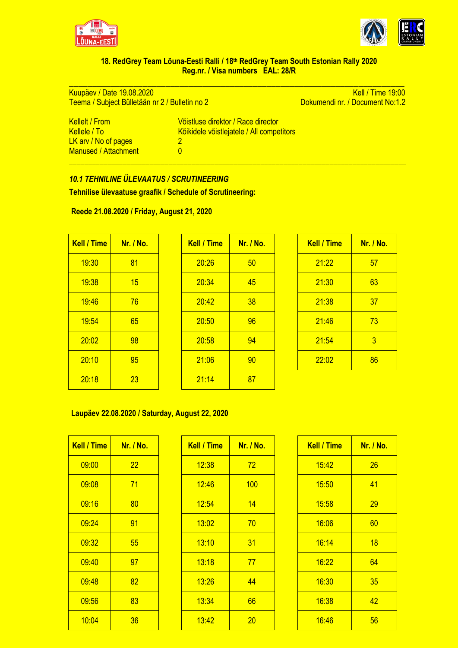



## **18. RedGrey Team Lõuna-Eesti Ralli / 18th RedGrey Team South Estonian Rally 2020 Reg.nr. / Visa numbers EAL: 28/R**

\_\_\_\_\_\_\_\_\_\_\_\_\_\_\_\_\_\_\_\_\_\_\_\_\_\_\_\_\_\_\_\_\_\_\_\_\_\_\_\_\_\_\_\_\_\_\_\_\_\_\_\_\_\_\_\_\_\_\_\_\_\_\_\_\_\_\_\_\_\_\_\_\_

\_\_\_\_\_\_\_\_\_\_\_\_\_\_\_\_\_\_\_\_\_\_\_\_\_\_\_\_\_\_\_\_\_\_\_\_\_\_\_\_\_\_\_\_\_\_\_\_\_\_\_\_\_\_\_\_\_\_\_\_\_\_\_\_\_\_\_\_\_\_\_\_\_\_\_\_\_\_\_\_\_\_\_\_\_\_\_\_

Kuupäev / Date 19.08.2020<br>
Teema / Subject Bülletään nr 2 / Bulletin no 2 **Kell / Time 19:00** Dokumendi nr. / Document No:1.2 Teema / Subject Bülletään nr 2 / Bulletin no 2

| Kellelt / From_      | Võistluse direktor / Race director        |
|----------------------|-------------------------------------------|
| Kellele / Tol        | Kõikidele võistlejatele / All competitors |
| LK arv / No of pages |                                           |
| Manused / Attachment | O                                         |

## *10.1 TEHNILINE ÜLEVAATUS / SCRUTINEERING*

**Tehnilise ülevaatuse graafik / Schedule of Scrutineering:**

| Reede 21.08.2020 / Friday, August 21, 2020 |
|--------------------------------------------|
|--------------------------------------------|

| <b>Kell / Time</b> | Nr. / No. | <b>Kell / Time</b> | $Nr.$ / |
|--------------------|-----------|--------------------|---------|
| 19:30              | 81        | 20:26              | 50      |
| 19:38              | 15        | 20:34              | 45      |
| 19:46              | 76        | 20:42              | 38      |
| 19:54              | 65        | 20:50              | 96      |
| 20:02              | 98        | 20:58              | 94      |
| 20:10              | 95        | 21:06              | 90      |
| 20:18              | 23        | 21:14              | 87      |

| <b>Kell / Time</b> | <b>Nr. / No.</b> | <b>Kell / Time</b> | <b>Nr. / No.</b> | <b>Kell / Time</b> | Nr. / No.      |
|--------------------|------------------|--------------------|------------------|--------------------|----------------|
| 19:30              | 81               | 20:26              | 50               | 21:22              | 57             |
| 19:38              | 15               | 20:34              | 45               | 21:30              | 63             |
| 19:46              | 76               | 20:42              | 38               | 21:38              | 37             |
| 19:54              | 65               | 20:50              | 96               | 21:46              | 73             |
| 20:02              | 98               | 20:58              | 94               | 21:54              | $\overline{3}$ |
| 20:10              | 95               | 21:06              | 90               | 22:02              | 86             |
| 20:18              | 23               | 21:14              | 87               |                    |                |
|                    |                  |                    |                  |                    |                |

| <b>Kell / Time</b> | Nr. / No. |
|--------------------|-----------|
| 21:22              | 57        |
| 21:30              | 63        |
| 21:38              | 37        |
| 21:46              | 73        |
| 21:54              | 3         |
| 22:02              | 86        |

## **Laupäev 22.08.2020 / Saturday, August 22, 2020**

| <b>Kell / Time</b> | <b>Nr. / No.</b> |  |  |  |  |
|--------------------|------------------|--|--|--|--|
| 09:00              | 22               |  |  |  |  |
| 09:08              | 71               |  |  |  |  |
| 09:16              | 80               |  |  |  |  |
| 09:24              | 91<br>55         |  |  |  |  |
| 09:32              |                  |  |  |  |  |
| 09:40              | 97               |  |  |  |  |
| 09:48              | 82               |  |  |  |  |
| 09:56              | 83               |  |  |  |  |
| 10:04              | 36               |  |  |  |  |

| <b>Kell / Time</b> | Nr. / No. | <b>Kell / Time</b> | Nr. / No. | <b>Kell / Time</b> | Nr. / No. |
|--------------------|-----------|--------------------|-----------|--------------------|-----------|
| 09:00              | 22        | 12:38              | 72        | 15:42              | 26        |
| 09:08              | 71        | 12:46              | 100       | 15:50              | 41        |
| 09:16              | 80        | 12:54              | 14        | 15:58              | 29        |
| 09:24              | 91        | 13:02              | 70        | 16:06              | 60        |
| 09:32              | 55        | 13:10              | 31        | 16:14              | 18        |
| 09:40              | 97        | 13:18              | 77        | 16:22              | 64        |
| 09:48              | 82        | 13:26              | 44        | 16:30              | 35        |
| 09:56              | 83        | 13:34              | 66        | 16:38              | 42        |
| 10:04              | 36        | 13:42              | 20        | 16:46              | 56        |

| Kell / Time | <u>Nr. / No.</u> |
|-------------|------------------|
| 15:42       | 26               |
| 15:50       | 41               |
| 15:58       | 29               |
| 16:06       | 60               |
| 16:14       | 18               |
| 16:22       | 64               |
| 16:30       | 35               |
| 16:38       | 42               |
| 16:46       | 56               |